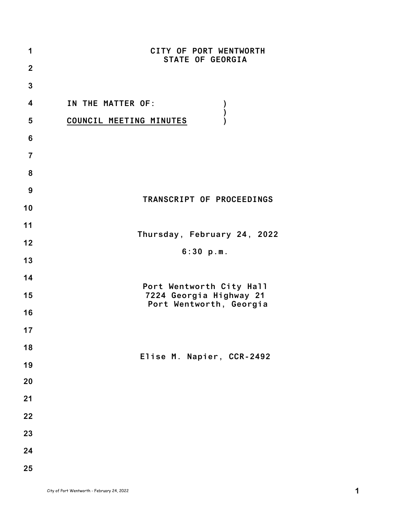| 1                | CITY OF PORT WENTWORTH                              |
|------------------|-----------------------------------------------------|
| $\overline{2}$   | <b>STATE OF GEORGIA</b>                             |
| $\mathbf{3}$     |                                                     |
| $\boldsymbol{4}$ | IN THE MATTER OF:<br>$\boldsymbol{\mathcal{V}}$     |
| 5                | $\mathcal{E}$<br>COUNCIL MEETING MINUTES            |
| 6                |                                                     |
| $\overline{7}$   |                                                     |
| 8                |                                                     |
| 9                |                                                     |
| 10               | TRANSCRIPT OF PROCEEDINGS                           |
| 11               |                                                     |
| 12               | Thursday, February 24, 2022                         |
| 13               | 6:30 p.m.                                           |
| 14               |                                                     |
| 15               | Port Wentworth City Hall<br>7224 Georgia Highway 21 |
| 16               | Port Wentworth, Georgia                             |
| 17               |                                                     |
| 18               |                                                     |
| 19               | Elise M. Napier, CCR-2492                           |
| 20               |                                                     |
| 21               |                                                     |
| 22               |                                                     |
| 23               |                                                     |
| 24               |                                                     |
| 25               |                                                     |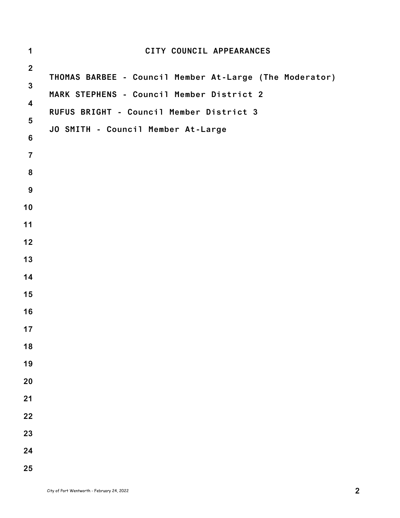| $\mathbf 1$             | CITY COUNCIL APPEARANCES                                |
|-------------------------|---------------------------------------------------------|
| $\mathbf{2}$            |                                                         |
| $\mathbf{3}$            | THOMAS BARBEE - Council Member At-Large (The Moderator) |
| $\overline{\mathbf{4}}$ | MARK STEPHENS - Council Member District 2               |
| $5\phantom{.0}$         | RUFUS BRIGHT - Council Member District 3                |
| $\bf 6$                 | JO SMITH - Council Member At-Large                      |
| $\overline{7}$          |                                                         |
| $\pmb{8}$               |                                                         |
| $9$                     |                                                         |
| 10                      |                                                         |
| 11                      |                                                         |
| $12$                    |                                                         |
| 13                      |                                                         |
| 14                      |                                                         |
| 15                      |                                                         |
| 16                      |                                                         |
| 17                      |                                                         |
| 18                      |                                                         |
| 19                      |                                                         |
| 20                      |                                                         |
| 21                      |                                                         |
| 22                      |                                                         |
| 23                      |                                                         |
| 24                      |                                                         |
| 25                      |                                                         |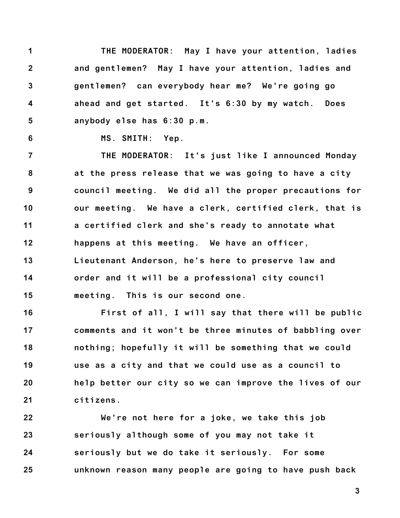**1 2 3 4 5 THE MODERATOR: May I have your attention, ladies and gentlemen? May I have your attention, ladies and gentlemen? can everybody hear me? We're going go ahead and get started. It's 6:30 by my watch. Does anybody else has 6:30 p.m.**

**6**

**MS. SMITH: Yep.**

**7 8 9 10 11 12 13 14 15 THE MODERATOR: It's just like I announced Monday at the press release that we was going to have a city council meeting. We did all the proper precautions for our meeting. We have a clerk, certified clerk, that is a certified clerk and she's ready to annotate what happens at this meeting. We have an officer, Lieutenant Anderson, he's here to preserve law and order and it will be a professional city council meeting. This is our second one.**

**16 17 18 19 20 21 First of all, I will say that there will be public comments and it won't be three minutes of babbling over nothing; hopefully it will be something that we could use as a city and that we could use as a council to help better our city so we can improve the lives of our citizens.**

**22 23 24 25 We're not here for a joke, we take this job seriously although some of you may not take it seriously but we do take it seriously. For some unknown reason many people are going to have push back**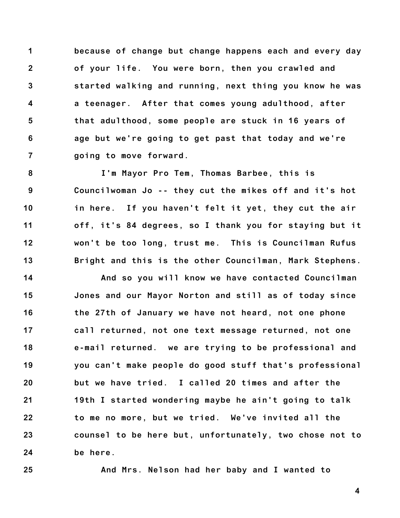**1 2 3 4 5 6 7 because of change but change happens each and every day of your life. You were born, then you crawled and started walking and running, next thing you know he was a teenager. After that comes young adulthood, after that adulthood, some people are stuck in 16 years of age but we're going to get past that today and we're going to move forward.**

**8 9 10 11 12 13 I'm Mayor Pro Tem, Thomas Barbee, this is Councilwoman Jo -- they cut the mikes off and it's hot in here. If you haven't felt it yet, they cut the air off, it's 84 degrees, so I thank you for staying but it won't be too long, trust me. This is Councilman Rufus Bright and this is the other Councilman, Mark Stephens.**

**14 15 16 17 18 19 20 21 22 23 24 And so you will know we have contacted Councilman Jones and our Mayor Norton and still as of today since the 27th of January we have not heard, not one phone call returned, not one text message returned, not one e-mail returned. we are trying to be professional and you can't make people do good stuff that's professional but we have tried. I called 20 times and after the 19th I started wondering maybe he ain't going to talk to me no more, but we tried. We've invited all the counsel to be here but, unfortunately, two chose not to be here.**

**25**

**And Mrs. Nelson had her baby and I wanted to**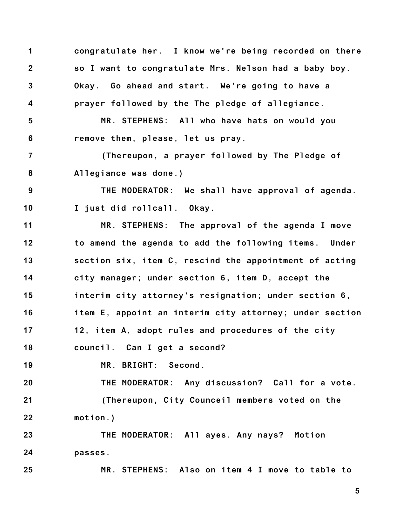**1 2 3 4 5 6 7 8 9 10 11 12 13 14 15 16 17 18 19 20 21 22 23 24 25 congratulate her. I know we're being recorded on there so I want to congratulate Mrs. Nelson had a baby boy. Okay. Go ahead and start. We're going to have a prayer followed by the The pledge of allegiance. MR. STEPHENS: All who have hats on would you remove them, please, let us pray. (Thereupon, a prayer followed by The Pledge of Allegiance was done.) THE MODERATOR: We shall have approval of agenda. I just did rollcall. Okay. MR. STEPHENS: The approval of the agenda I move to amend the agenda to add the following items. Under section six, item C, rescind the appointment of acting city manager; under section 6, item D, accept the interim city attorney's resignation; under section 6, item E, appoint an interim city attorney; under section 12, item A, adopt rules and procedures of the city council. Can I get a second? MR. BRIGHT: Second. THE MODERATOR: Any discussion? Call for a vote. (Thereupon, City Counceil members voted on the motion.) THE MODERATOR: All ayes. Any nays? Motion passes. MR. STEPHENS: Also on item 4 I move to table to**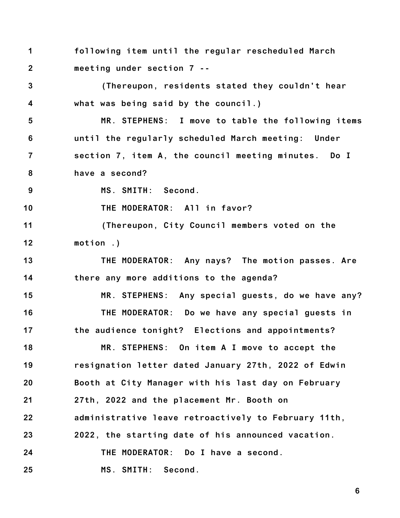**1 2 following item until the regular rescheduled March meeting under section 7 --**

**3 4 (Thereupon, residents stated they couldn't hear what was being said by the council.)**

**5 6 7 8 MR. STEPHENS: I move to table the following items until the regularly scheduled March meeting: Under section 7, item A, the council meeting minutes. Do I have a second?**

**9 MS. SMITH: Second.**

**17**

**10 THE MODERATOR: All in favor?**

**11 12 (Thereupon, City Council members voted on the motion .)**

**13 14 THE MODERATOR: Any nays? The motion passes. Are there any more additions to the agenda?**

**15 16 MR. STEPHENS: Any special guests, do we have any? THE MODERATOR: Do we have any special guests in**

**the audience tonight? Elections and appointments?**

**18 19 20 21 22 23 24 MR. STEPHENS: On item A I move to accept the resignation letter dated January 27th, 2022 of Edwin Booth at City Manager with his last day on February 27th, 2022 and the placement Mr. Booth on administrative leave retroactively to February 11th, 2022, the starting date of his announced vacation. THE MODERATOR: Do I have a second.**

**25 MS. SMITH: Second.**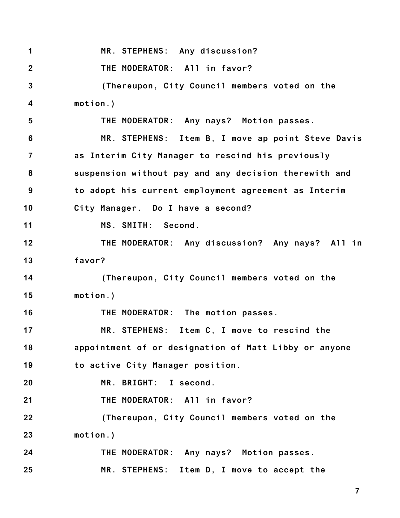**1 2 3 4 5 6 7 8 9 10 11 12 13 14 15 16 17 18 19 20 21 22 23 24 25 MR. STEPHENS: Any discussion? THE MODERATOR: All in favor? (Thereupon, City Council members voted on the motion.) THE MODERATOR: Any nays? Motion passes. MR. STEPHENS: Item B, I move ap point Steve Davis as Interim City Manager to rescind his previously suspension without pay and any decision therewith and to adopt his current employment agreement as Interim City Manager. Do I have a second? MS. SMITH: Second. THE MODERATOR: Any discussion? Any nays? All in favor? (Thereupon, City Council members voted on the motion.) THE MODERATOR: The motion passes. MR. STEPHENS: Item C, I move to rescind the appointment of or designation of Matt Libby or anyone to active City Manager position. MR. BRIGHT: I second. THE MODERATOR: All in favor? (Thereupon, City Council members voted on the motion.) THE MODERATOR: Any nays? Motion passes. MR. STEPHENS: Item D, I move to accept the**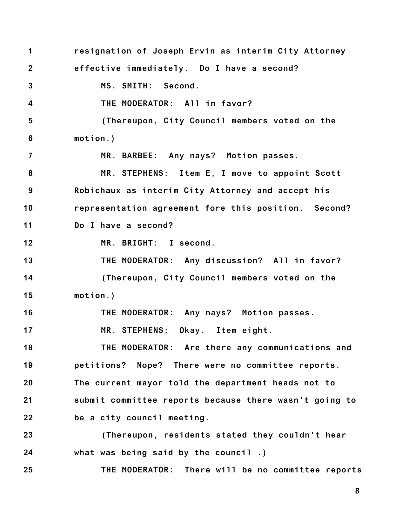**1 2 3 4 5 6 7 8 9 10 11 12 13 14 15 16 17 18 19 20 21 22 23 24 25 resignation of Joseph Ervin as interim City Attorney effective immediately. Do I have a second? MS. SMITH: Second. THE MODERATOR: All in favor? (Thereupon, City Council members voted on the motion.) MR. BARBEE: Any nays? Motion passes. MR. STEPHENS: Item E, I move to appoint Scott Robichaux as interim City Attorney and accept his representation agreement fore this position. Second? Do I have a second? MR. BRIGHT: I second. THE MODERATOR: Any discussion? All in favor? (Thereupon, City Council members voted on the motion.) THE MODERATOR: Any nays? Motion passes. MR. STEPHENS: Okay. Item eight. THE MODERATOR: Are there any communications and petitions? Nope? There were no committee reports. The current mayor told the department heads not to submit committee reports because there wasn't going to be a city council meeting. (Thereupon, residents stated they couldn't hear what was being said by the council .) THE MODERATOR: There will be no committee reports**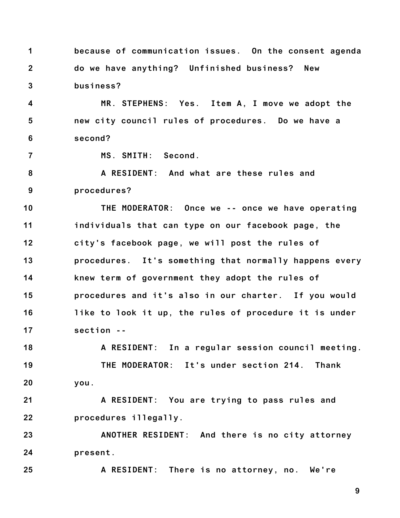**1 2 3 because of communication issues. On the consent agenda do we have anything? Unfinished business? New business?**

**4 5 6 MR. STEPHENS: Yes. Item A, I move we adopt the new city council rules of procedures. Do we have a second?**

**7**

**MS. SMITH: Second.**

**8 9 A RESIDENT: And what are these rules and procedures?**

**10 11 12 13 14 15 16 17 THE MODERATOR: Once we -- once we have operating individuals that can type on our facebook page, the city's facebook page, we will post the rules of procedures. It's something that normally happens every knew term of government they adopt the rules of procedures and it's also in our charter. If you would like to look it up, the rules of procedure it is under section --**

**18 19 20 A RESIDENT: In a regular session council meeting. THE MODERATOR: It's under section 214. Thank you.**

**21 22 A RESIDENT: You are trying to pass rules and procedures illegally.**

**23 24 ANOTHER RESIDENT: And there is no city attorney present.**

**25 A RESIDENT: There is no attorney, no. We're**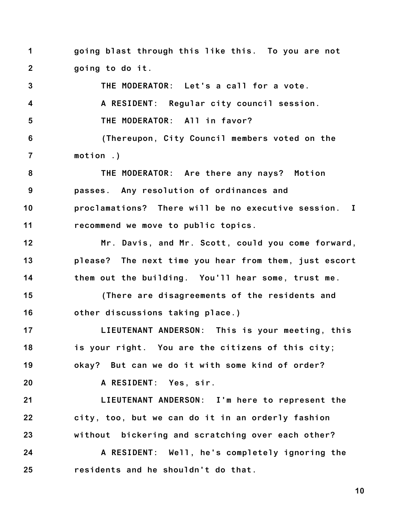**1 2 going blast through this like this. To you are not going to do it.**

**3 4 5 6 7 8 9 THE MODERATOR: Let's a call for a vote. A RESIDENT: Regular city council session. THE MODERATOR: All in favor? (Thereupon, City Council members voted on the motion .) THE MODERATOR: Are there any nays? Motion passes. Any resolution of ordinances and**

**10 11 proclamations? There will be no executive session. I recommend we move to public topics.**

**12 13 14 Mr. Davis, and Mr. Scott, could you come forward, please? The next time you hear from them, just escort them out the building. You'll hear some, trust me.**

**15 16 (There are disagreements of the residents and other discussions taking place.)**

**17 18 19 LIEUTENANT ANDERSON: This is your meeting, this is your right. You are the citizens of this city; okay? But can we do it with some kind of order?**

**A RESIDENT: Yes, sir.**

**20**

**21 22 23 LIEUTENANT ANDERSON: I'm here to represent the city, too, but we can do it in an orderly fashion without bickering and scratching over each other?**

**24 25 A RESIDENT: Well, he's completely ignoring the residents and he shouldn't do that.**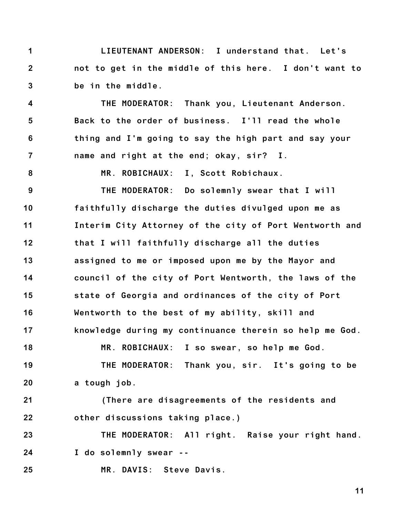**1 2 3 LIEUTENANT ANDERSON: I understand that. Let's not to get in the middle of this here. I don't want to be in the middle.**

**4 5 6 7 THE MODERATOR: Thank you, Lieutenant Anderson. Back to the order of business. I'll read the whole thing and I'm going to say the high part and say your name and right at the end; okay, sir? I.**

**8**

**18**

**MR. ROBICHAUX: I, Scott Robichaux.**

**9 10 11 12 13 14 15 16 17 THE MODERATOR: Do solemnly swear that I will faithfully discharge the duties divulged upon me as Interim City Attorney of the city of Port Wentworth and that I will faithfully discharge all the duties assigned to me or imposed upon me by the Mayor and council of the city of Port Wentworth, the laws of the state of Georgia and ordinances of the city of Port Wentworth to the best of my ability, skill and knowledge during my continuance therein so help me God.**

**19 20 THE MODERATOR: Thank you, sir. It's going to be a tough job.**

**MR. ROBICHAUX: I so swear, so help me God.**

**21 22 (There are disagreements of the residents and other discussions taking place.)**

**23 24 THE MODERATOR: All right. Raise your right hand. I do solemnly swear --**

**25 MR. DAVIS: Steve Davis.**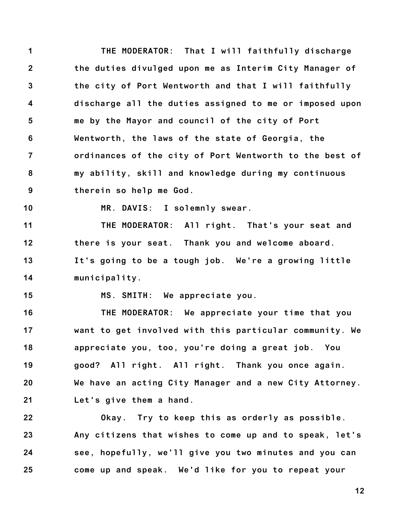**1 2 3 4 5 6 7 8 9 THE MODERATOR: That I will faithfully discharge the duties divulged upon me as Interim City Manager of the city of Port Wentworth and that I will faithfully discharge all the duties assigned to me or imposed upon me by the Mayor and council of the city of Port Wentworth, the laws of the state of Georgia, the ordinances of the city of Port Wentworth to the best of my ability, skill and knowledge during my continuous therein so help me God.**

**10**

**MR. DAVIS: I solemnly swear.**

**11 12 13 14 THE MODERATOR: All right. That's your seat and there is your seat. Thank you and welcome aboard. It's going to be a tough job. We're a growing little municipality.**

**15**

**MS. SMITH: We appreciate you.**

**16 17 18 19 20 21 THE MODERATOR: We appreciate your time that you want to get involved with this particular community. We appreciate you, too, you're doing a great job. You good? All right. All right. Thank you once again. We have an acting City Manager and a new City Attorney. Let's give them a hand.**

**22 23 24 25 Okay. Try to keep this as orderly as possible. Any citizens that wishes to come up and to speak, let's see, hopefully, we'll give you two minutes and you can come up and speak. We'd like for you to repeat your**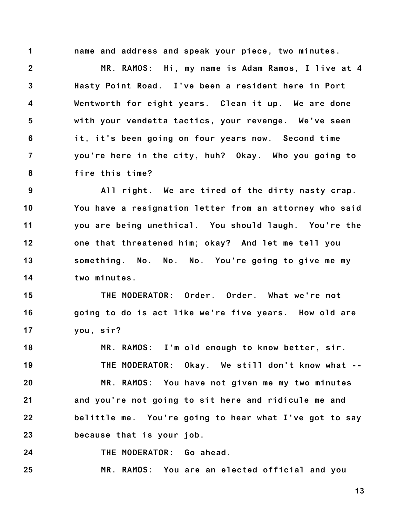**1**

**name and address and speak your piece, two minutes.**

**2 3 4 5 6 7 8 MR. RAMOS: Hi, my name is Adam Ramos, I live at 4 Hasty Point Road. I've been a resident here in Port Wentworth for eight years. Clean it up. We are done with your vendetta tactics, your revenge. We've seen it, it's been going on four years now. Second time you're here in the city, huh? Okay. Who you going to fire this time?**

**9 10 11 12 13 14 All right. We are tired of the dirty nasty crap. You have a resignation letter from an attorney who said you are being unethical. You should laugh. You're the one that threatened him; okay? And let me tell you something. No. No. No. You're going to give me my two minutes.**

**15 16 17 THE MODERATOR: Order. Order. What we're not going to do is act like we're five years. How old are you, sir?**

**18 19 20 21 22 23 MR. RAMOS: I'm old enough to know better, sir. THE MODERATOR: Okay. We still don't know what -- MR. RAMOS: You have not given me my two minutes and you're not going to sit here and ridicule me and belittle me. You're going to hear what I've got to say because that is your job.**

**24 THE MODERATOR: Go ahead.**

**25 MR. RAMOS: You are an elected official and you**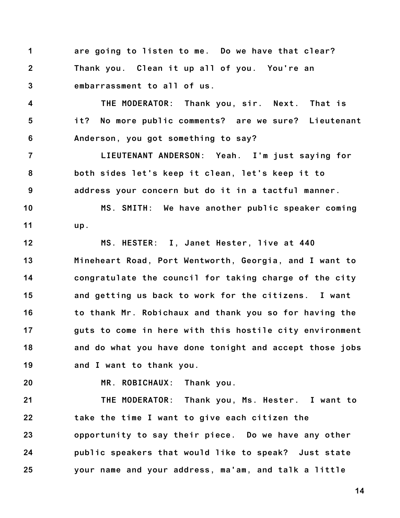**1 2 3 are going to listen to me. Do we have that clear? Thank you. Clean it up all of you. You're an embarrassment to all of us.**

**4 5 6 THE MODERATOR: Thank you, sir. Next. That is it? No more public comments? are we sure? Lieutenant Anderson, you got something to say?**

**7 8 9 LIEUTENANT ANDERSON: Yeah. I'm just saying for both sides let's keep it clean, let's keep it to address your concern but do it in a tactful manner.**

**10 11 MS. SMITH: We have another public speaker coming up.**

**12 13 14 15 16 17 18 19 MS. HESTER: I, Janet Hester, live at 440 Mineheart Road, Port Wentworth, Georgia, and I want to congratulate the council for taking charge of the city and getting us back to work for the citizens. I want to thank Mr. Robichaux and thank you so for having the guts to come in here with this hostile city environment and do what you have done tonight and accept those jobs and I want to thank you.**

**20**

**MR. ROBICHAUX: Thank you.**

**21 22 23 24 25 THE MODERATOR: Thank you, Ms. Hester. I want to take the time I want to give each citizen the opportunity to say their piece. Do we have any other public speakers that would like to speak? Just state your name and your address, ma'am, and talk a little**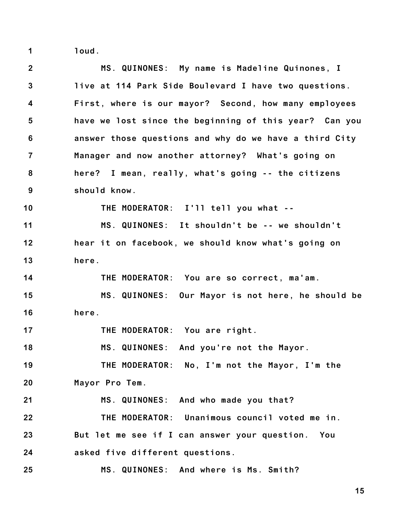**1 loud.**

| $\mathbf{2}$            | MS. QUINONES: My name is Madeline Quinones, I          |
|-------------------------|--------------------------------------------------------|
| $\mathbf{3}$            | live at 114 Park Side Boulevard I have two questions.  |
| $\overline{\mathbf{4}}$ | First, where is our mayor? Second, how many employees  |
| 5                       | have we lost since the beginning of this year? Can you |
| 6                       | answer those questions and why do we have a third City |
| $\overline{7}$          | Manager and now another attorney? What's going on      |
| 8                       | here? I mean, really, what's going -- the citizens     |
| 9                       | should know.                                           |
| 10                      | THE MODERATOR: I'll tell you what --                   |
| 11                      | MS. QUINONES: It shouldn't be -- we shouldn't          |
| 12                      | hear it on facebook, we should know what's going on    |
| 13                      | here.                                                  |
| 14                      | THE MODERATOR: You are so correct, ma'am.              |
| 15                      | MS. QUINONES: Our Mayor is not here, he should be      |
| 16                      | here.                                                  |
| 17                      | THE MODERATOR: You are right.                          |
| 18                      | MS. QUINONES: And you're not the Mayor.                |
| 19                      | THE MODERATOR: No, I'm not the Mayor, I'm the          |
| 20                      | Mayor Pro Tem.                                         |
| 21                      | MS. QUINONES: And who made you that?                   |
| 22                      | THE MODERATOR: Unanimous council voted me in.          |
| 23                      | But let me see if I can answer your question. You      |
| 24                      | asked five different questions.                        |
| 25                      | MS. QUINONES: And where is Ms. Smith?                  |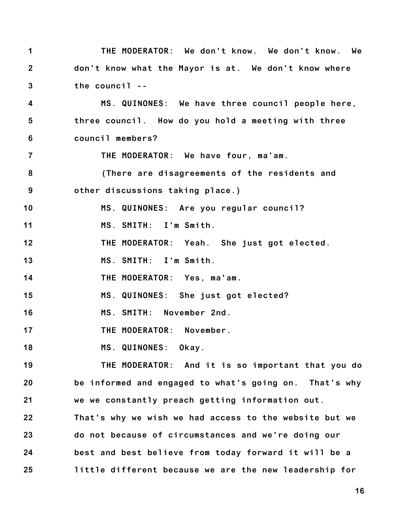| $\mathbf 1$             | THE MODERATOR: We don't know. We don't know. We        |
|-------------------------|--------------------------------------------------------|
| $2^{\circ}$             | don't know what the Mayor is at. We don't know where   |
| $\mathbf{3}$            | the council --                                         |
| 4                       | MS. QUINONES: We have three council people here,       |
| $\overline{\mathbf{5}}$ | three council. How do you hold a meeting with three    |
| 6                       | council members?                                       |
| $\overline{7}$          | THE MODERATOR: We have four, ma'am.                    |
| 8                       | (There are disagreements of the residents and          |
| 9                       | other discussions taking place.)                       |
| 10                      | MS. QUINONES: Are you regular council?                 |
| 11                      | MS. SMITH: I'm Smith.                                  |
| 12                      | THE MODERATOR: Yeah. She just got elected.             |
| 13                      | MS. SMITH: I'm Smith.                                  |
| 14                      | THE MODERATOR: Yes, ma'am.                             |
| 15                      | MS. QUINONES: She just got elected?                    |
| 16                      | MS. SMITH: November 2nd.                               |
| 17                      | THE MODERATOR: November.                               |
| 18                      | MS. QUINONES: Okay.                                    |
| 19                      | THE MODERATOR: And it is so important that you do      |
| 20                      | be informed and engaged to what's going on. That's why |
| 21                      | we we constantly preach getting information out.       |
| 22                      | That's why we wish we had access to the website but we |
| 23                      | do not because of circumstances and we're doing our    |
| 24                      | best and best believe from today forward it will be a  |
| 25                      | little different because we are the new leadership for |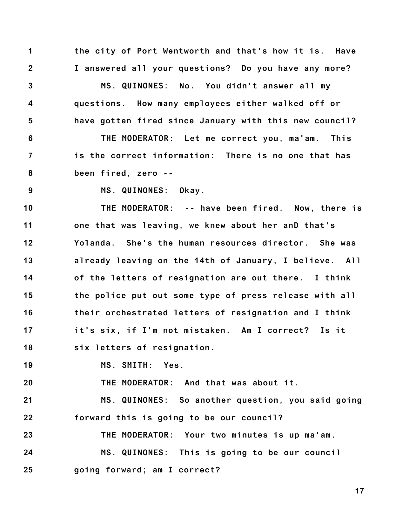**1 2 the city of Port Wentworth and that's how it is. Have I answered all your questions? Do you have any more?**

**3 4 5 MS. QUINONES: No. You didn't answer all my questions. How many employees either walked off or have gotten fired since January with this new council?**

**6 7 8 THE MODERATOR: Let me correct you, ma'am. This is the correct information: There is no one that has been fired, zero --**

**9**

**MS. QUINONES: Okay.**

**10 11 12 13 14 15 16 17 18 THE MODERATOR: -- have been fired. Now, there is one that was leaving, we knew about her anD that's Yolanda. She's the human resources director. She was already leaving on the 14th of January, I believe. All of the letters of resignation are out there. I think the police put out some type of press release with all their orchestrated letters of resignation and I think it's six, if I'm not mistaken. Am I correct? Is it six letters of resignation.**

**19 MS. SMITH: Yes.**

**20 THE MODERATOR: And that was about it.**

**21 22 MS. QUINONES: So another question, you said going forward this is going to be our council?**

**23 24 25 THE MODERATOR: Your two minutes is up ma'am. MS. QUINONES: This is going to be our council going forward; am I correct?**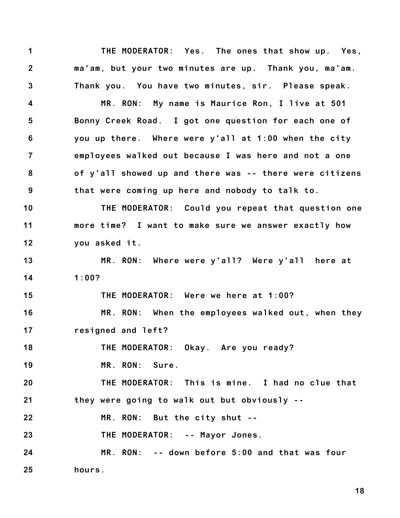**1 2 3 THE MODERATOR: Yes. The ones that show up. Yes, ma'am, but your two minutes are up. Thank you, ma'am. Thank you. You have two minutes, sir. Please speak.**

**4 5 6 7 8 9 MR. RON: My name is Maurice Ron, I live at 501 Bonny Creek Road. I got one question for each one of you up there. Where were y'all at 1:00 when the city employees walked out because I was here and not a one of y'all showed up and there was -- there were citizens that were coming up here and nobody to talk to.**

**10 11 12 THE MODERATOR: Could you repeat that question one more time? I want to make sure we answer exactly how you asked it.**

**13 14 MR. RON: Where were y'all? Were y'all here at 1:00?**

**THE MODERATOR: Were we here at 1:00?**

**16 17 MR. RON: When the employees walked out, when they resigned and left?**

**18 THE MODERATOR: Okay. Are you ready?**

**19 MR. RON: Sure.**

**15**

**20 21 THE MODERATOR: This is mine. I had no clue that they were going to walk out but obviously --**

**22 MR. RON: But the city shut --**

**23 THE MODERATOR: -- Mayor Jones.**

**24 25 MR. RON: -- down before 5:00 and that was four hours.**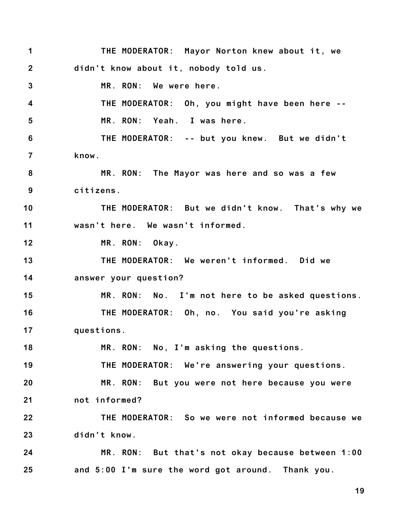**1 2 3 4 5 6 7 8 9 10 11 12 13 14 15 16 17 18 19 20 21 22 23 24 25 THE MODERATOR: Mayor Norton knew about it, we didn't know about it, nobody told us. MR. RON: We were here. THE MODERATOR: Oh, you might have been here -- MR. RON: Yeah. I was here. THE MODERATOR: -- but you knew. But we didn't know. MR. RON: The Mayor was here and so was a few citizens. THE MODERATOR: But we didn't know. That's why we wasn't here. We wasn't informed. MR. RON: Okay. THE MODERATOR: We weren't informed. Did we answer your question? MR. RON: No. I'm not here to be asked questions. THE MODERATOR: Oh, no. You said you're asking questions. MR. RON: No, I'm asking the questions. THE MODERATOR: We're answering your questions. MR. RON: But you were not here because you were not informed? THE MODERATOR: So we were not informed because we didn't know. MR. RON: But that's not okay because between 1:00 and 5:00 I'm sure the word got around. Thank you.**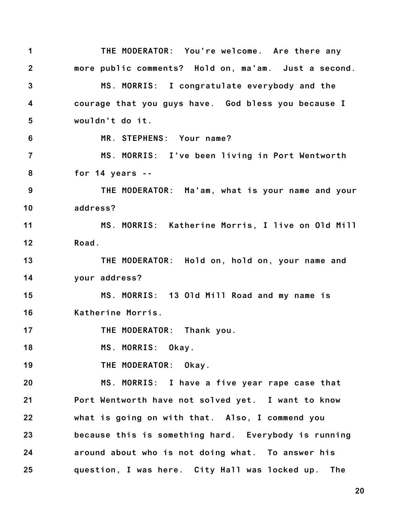**1 2 3 4 5 6 7 8 9 10 11 12 13 14 15 16 17 18 19 20 21 22 23 24 25 THE MODERATOR: You're welcome. Are there any more public comments? Hold on, ma'am. Just a second. MS. MORRIS: I congratulate everybody and the courage that you guys have. God bless you because I wouldn't do it. MR. STEPHENS: Your name? MS. MORRIS: I've been living in Port Wentworth for 14 years -- THE MODERATOR: Ma'am, what is your name and your address? MS. MORRIS: Katherine Morris, I live on Old Mill Road. THE MODERATOR: Hold on, hold on, your name and your address? MS. MORRIS: 13 Old Mill Road and my name is Katherine Morris. THE MODERATOR: Thank you. MS. MORRIS: Okay. THE MODERATOR: Okay. MS. MORRIS: I have a five year rape case that Port Wentworth have not solved yet. I want to know what is going on with that. Also, I commend you because this is something hard. Everybody is running around about who is not doing what. To answer his question, I was here. City Hall was locked up. The**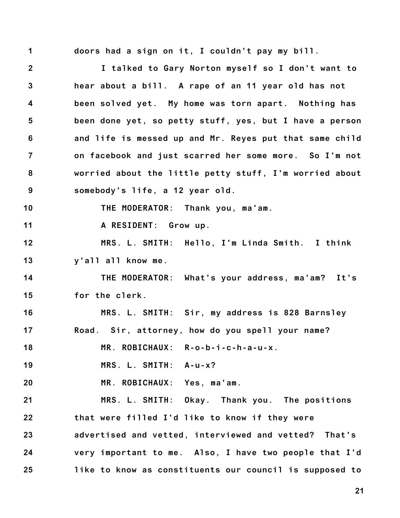**1**

**doors had a sign on it, I couldn't pay my bill.**

**2 3 4 5 6 7 8 9 10 11 12 13 14 15 16 17 18 19 20 21 22 23 24 25 I talked to Gary Norton myself so I don't want to hear about a bill. A rape of an 11 year old has not been solved yet. My home was torn apart. Nothing has been done yet, so petty stuff, yes, but I have a person and life is messed up and Mr. Reyes put that same child on facebook and just scarred her some more. So I'm not worried about the little petty stuff, I'm worried about somebody's life, a 12 year old. THE MODERATOR: Thank you, ma'am. A RESIDENT: Grow up. MRS. L. SMITH: Hello, I'm Linda Smith. I think y'all all know me. THE MODERATOR: What's your address, ma'am? It's for the clerk. MRS. L. SMITH: Sir, my address is 828 Barnsley Road. Sir, attorney, how do you spell your name? MR. ROBICHAUX: R-o-b-i-c-h-a-u-x. MRS. L. SMITH: A-u-x? MR. ROBICHAUX: Yes, ma'am. MRS. L. SMITH: Okay. Thank you. The positions that were filled I'd like to know if they were advertised and vetted, interviewed and vetted? That's very important to me. Also, I have two people that I'd like to know as constituents our council is supposed to**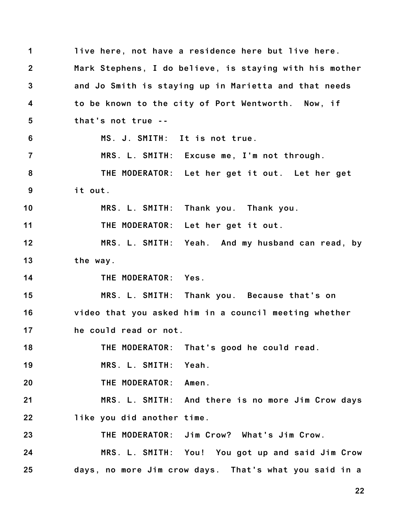**1 2 3 4 5 6 7 8 9 10 11 12 13 14 15 16 17 18 19 20 21 22 23 24 25 live here, not have a residence here but live here. Mark Stephens, I do believe, is staying with his mother and Jo Smith is staying up in Marietta and that needs to be known to the city of Port Wentworth. Now, if that's not true -- MS. J. SMITH: It is not true. MRS. L. SMITH: Excuse me, I'm not through. THE MODERATOR: Let her get it out. Let her get it out. MRS. L. SMITH: Thank you. Thank you. THE MODERATOR: Let her get it out. MRS. L. SMITH: Yeah. And my husband can read, by the way. THE MODERATOR: Yes. MRS. L. SMITH: Thank you. Because that's on video that you asked him in a council meeting whether he could read or not. THE MODERATOR: That's good he could read. MRS. L. SMITH: Yeah. THE MODERATOR: Amen. MRS. L. SMITH: And there is no more Jim Crow days like you did another time. THE MODERATOR: Jim Crow? What's Jim Crow. MRS. L. SMITH: You! You got up and said Jim Crow days, no more Jim crow days. That's what you said in a**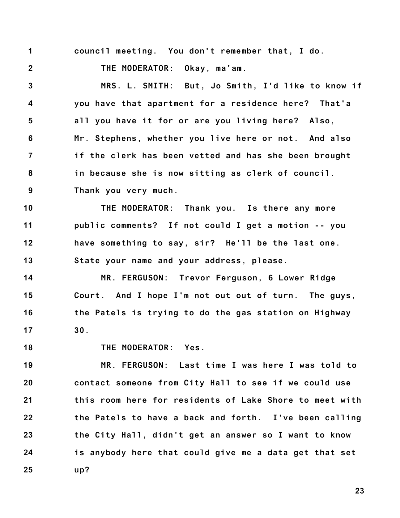**1**

**2**

**council meeting. You don't remember that, I do.**

**THE MODERATOR: Okay, ma'am.**

**3 4 5 6 7 8 9 MRS. L. SMITH: But, Jo Smith, I'd like to know if you have that apartment for a residence here? That'a all you have it for or are you living here? Also, Mr. Stephens, whether you live here or not. And also if the clerk has been vetted and has she been brought in because she is now sitting as clerk of council. Thank you very much.**

**10 11 12 13 THE MODERATOR: Thank you. Is there any more public comments? If not could I get a motion -- you have something to say, sir? He'll be the last one. State your name and your address, please.**

**14 15 16 17 MR. FERGUSON: Trevor Ferguson, 6 Lower Ridge Court. And I hope I'm not out out of turn. The guys, the Patels is trying to do the gas station on Highway 30.**

**18**

**THE MODERATOR: Yes.**

**19 20 21 22 23 24 25 MR. FERGUSON: Last time I was here I was told to contact someone from City Hall to see if we could use this room here for residents of Lake Shore to meet with the Patels to have a back and forth. I've been calling the City Hall, didn't get an answer so I want to know is anybody here that could give me a data get that set up?**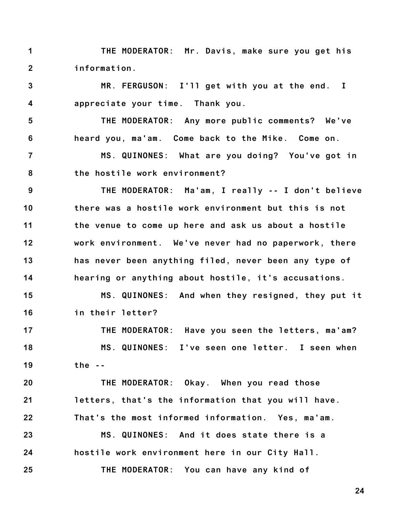**1 2 THE MODERATOR: Mr. Davis, make sure you get his information.**

**3 4 MR. FERGUSON: I'll get with you at the end. I appreciate your time. Thank you.**

**5 6 THE MODERATOR: Any more public comments? We've heard you, ma'am. Come back to the Mike. Come on.**

**7 8 MS. QUINONES: What are you doing? You've got in the hostile work environment?**

**9 10 11 12 13 14 THE MODERATOR: Ma'am, I really -- I don't believe there was a hostile work environment but this is not the venue to come up here and ask us about a hostile work environment. We've never had no paperwork, there has never been anything filed, never been any type of hearing or anything about hostile, it's accusations.**

**15 16 MS. QUINONES: And when they resigned, they put it in their letter?**

**17 18 19 THE MODERATOR: Have you seen the letters, ma'am? MS. QUINONES: I've seen one letter. I seen when the --**

**20 21 22 23 24 25 THE MODERATOR: Okay. When you read those letters, that's the information that you will have. That's the most informed information. Yes, ma'am. MS. QUINONES: And it does state there is a hostile work environment here in our City Hall. THE MODERATOR: You can have any kind of**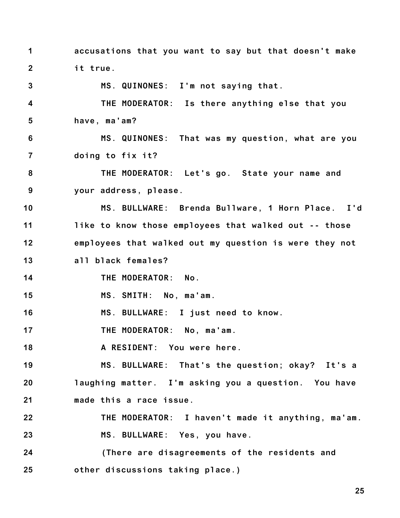**1 2 accusations that you want to say but that doesn't make it true.**

**3 4 5 6 7 8 9 10 11 12 13 14 15 16 MS. QUINONES: I'm not saying that. THE MODERATOR: Is there anything else that you have, ma'am? MS. QUINONES: That was my question, what are you doing to fix it? THE MODERATOR: Let's go. State your name and your address, please. MS. BULLWARE: Brenda Bullware, 1 Horn Place. I'd like to know those employees that walked out -- those employees that walked out my question is were they not all black females? THE MODERATOR: No. MS. SMITH: No, ma'am. MS. BULLWARE: I just need to know.**

**17 THE MODERATOR: No, ma'am.**

**18 A RESIDENT: You were here.**

**19 20 21 MS. BULLWARE: That's the question; okay? It's a laughing matter. I'm asking you a question. You have made this a race issue.**

**22 23 THE MODERATOR: I haven't made it anything, ma'am. MS. BULLWARE: Yes, you have.**

**24 25 (There are disagreements of the residents and other discussions taking place.)**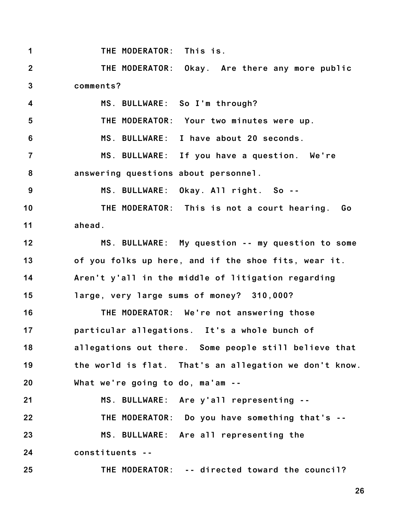**1 2 3 4 5 6 7 8 9 10 11 12 13 14 15 16 17 18 19 20 21 22 23 24 25 THE MODERATOR: This is. THE MODERATOR: Okay. Are there any more public comments? MS. BULLWARE: So I'm through? THE MODERATOR: Your two minutes were up. MS. BULLWARE: I have about 20 seconds. MS. BULLWARE: If you have a question. We're answering questions about personnel. MS. BULLWARE: Okay. All right. So -- THE MODERATOR: This is not a court hearing. Go ahead. MS. BULLWARE: My question -- my question to some of you folks up here, and if the shoe fits, wear it. Aren't y'all in the middle of litigation regarding large, very large sums of money? 310,000? THE MODERATOR: We're not answering those particular allegations. It's a whole bunch of allegations out there. Some people still believe that the world is flat. That's an allegation we don't know. What we're going to do, ma'am -- MS. BULLWARE: Are y'all representing -- THE MODERATOR: Do you have something that's -- MS. BULLWARE: Are all representing the constituents -- THE MODERATOR: -- directed toward the council?**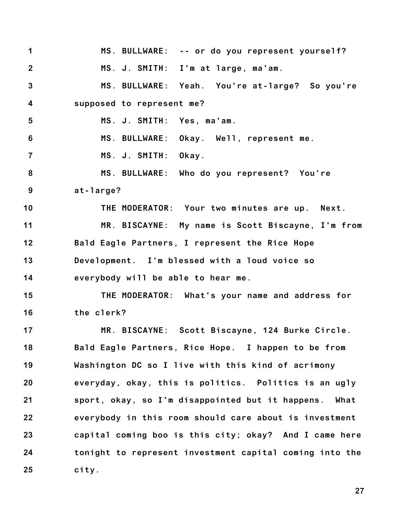**1 2 3 4 5 6 7 8 9 10 11 12 13 14 15 16 17 18 19 20 21 22 23 24 25 MS. BULLWARE: -- or do you represent yourself? MS. J. SMITH: I'm at large, ma'am. MS. BULLWARE: Yeah. You're at-large? So you're supposed to represent me? MS. J. SMITH: Yes, ma'am. MS. BULLWARE: Okay. Well, represent me. MS. J. SMITH: Okay. MS. BULLWARE: Who do you represent? You're at-large? THE MODERATOR: Your two minutes are up. Next. MR. BISCAYNE: My name is Scott Biscayne, I'm from Bald Eagle Partners, I represent the Rice Hope Development. I'm blessed with a loud voice so everybody will be able to hear me. THE MODERATOR: What's your name and address for the clerk? MR. BISCAYNE: Scott Biscayne, 124 Burke Circle. Bald Eagle Partners, Rice Hope. I happen to be from Washington DC so I live with this kind of acrimony everyday, okay, this is politics. Politics is an ugly sport, okay, so I'm disappointed but it happens. What everybody in this room should care about is investment capital coming boo is this city; okay? And I came here tonight to represent investment capital coming into the city.**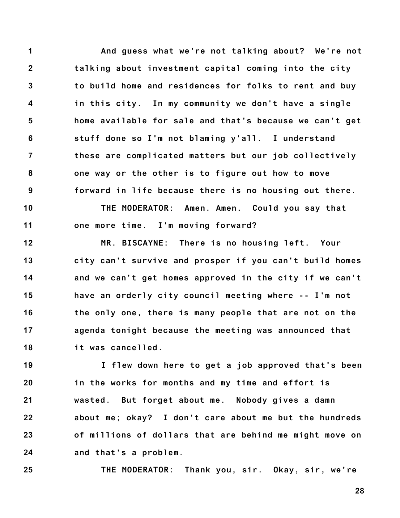**1 2 3 4 5 6 7 8 9 10 And guess what we're not talking about? We're not talking about investment capital coming into the city to build home and residences for folks to rent and buy in this city. In my community we don't have a single home available for sale and that's because we can't get stuff done so I'm not blaming y'all. I understand these are complicated matters but our job collectively one way or the other is to figure out how to move forward in life because there is no housing out there. THE MODERATOR: Amen. Amen. Could you say that**

**11 one more time. I'm moving forward?**

**12 13 14 15 16 17 18 MR. BISCAYNE: There is no housing left. Your city can't survive and prosper if you can't build homes and we can't get homes approved in the city if we can't have an orderly city council meeting where -- I'm not the only one, there is many people that are not on the agenda tonight because the meeting was announced that it was cancelled.**

**19 20 21 22 23 24 I flew down here to get a job approved that's been in the works for months and my time and effort is wasted. But forget about me. Nobody gives a damn about me; okay? I don't care about me but the hundreds of millions of dollars that are behind me might move on and that's a problem.**

**25 THE MODERATOR: Thank you, sir. Okay, sir, we're**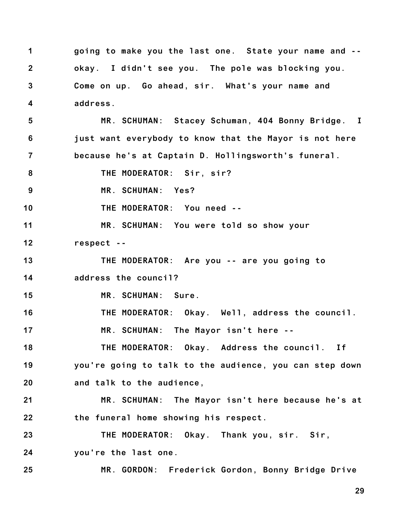**1 2 3 4 going to make you the last one. State your name and - okay. I didn't see you. The pole was blocking you. Come on up. Go ahead, sir. What's your name and address.**

**5 6 7 MR. SCHUMAN: Stacey Schuman, 404 Bonny Bridge. I just want everybody to know that the Mayor is not here because he's at Captain D. Hollingsworth's funeral.**

**8 THE MODERATOR: Sir, sir?**

**9 MR. SCHUMAN: Yes?**

**10 THE MODERATOR: You need --**

**11 12 MR. SCHUMAN: You were told so show your respect --**

**13 THE MODERATOR: Are you -- are you going to**

**14 address the council?**

**15 MR. SCHUMAN: Sure.**

**16 17 THE MODERATOR: Okay. Well, address the council. MR. SCHUMAN: The Mayor isn't here --**

**18 19 THE MODERATOR: Okay. Address the council. If you're going to talk to the audience, you can step down**

**20 and talk to the audience,**

**21 22 MR. SCHUMAN: The Mayor isn't here because he's at the funeral home showing his respect.**

**23 24 THE MODERATOR: Okay. Thank you, sir. Sir, you're the last one.**

**25 MR. GORDON: Frederick Gordon, Bonny Bridge Drive**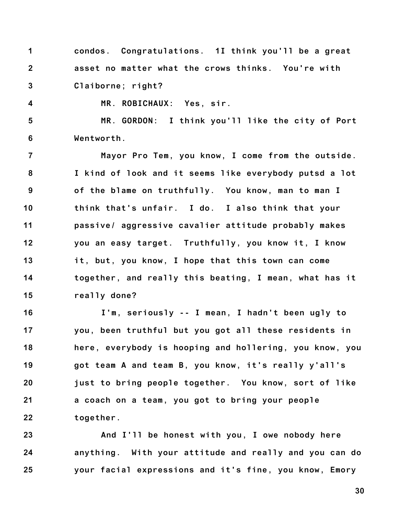**1 2 3 condos. Congratulations. 1I think you'll be a great asset no matter what the crows thinks. You're with Claiborne; right?**

**4**

**MR. ROBICHAUX: Yes, sir.**

**5 6 MR. GORDON: I think you'll like the city of Port Wentworth.**

**7 8 9 10 11 12 13 14 15 Mayor Pro Tem, you know, I come from the outside. I kind of look and it seems like everybody putsd a lot of the blame on truthfully. You know, man to man I think that's unfair. I do. I also think that your passive/ aggressive cavalier attitude probably makes you an easy target. Truthfully, you know it, I know it, but, you know, I hope that this town can come together, and really this beating, I mean, what has it really done?**

**16 17 18 19 20 21 22 I'm, seriously -- I mean, I hadn't been ugly to you, been truthful but you got all these residents in here, everybody is hooping and hollering, you know, you got team A and team B, you know, it's really y'all's just to bring people together. You know, sort of like a coach on a team, you got to bring your people together.**

**23 24 25 And I'll be honest with you, I owe nobody here anything. With your attitude and really and you can do your facial expressions and it's fine, you know, Emory**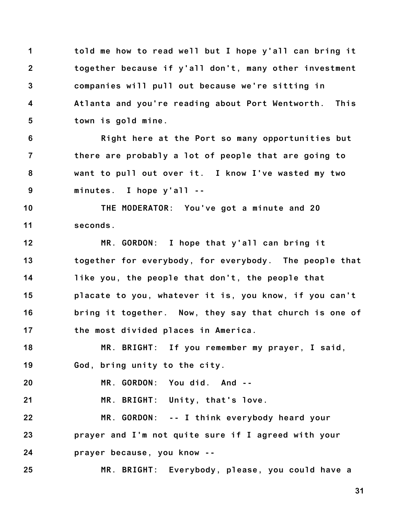**1 2 3 4 5 told me how to read well but I hope y'all can bring it together because if y'all don't, many other investment companies will pull out because we're sitting in Atlanta and you're reading about Port Wentworth. This town is gold mine.**

**6 7 8 9 Right here at the Port so many opportunities but there are probably a lot of people that are going to want to pull out over it. I know I've wasted my two minutes. I hope y'all --**

**10 11 THE MODERATOR: You've got a minute and 20 seconds.**

**12 13 14 15 16 17 MR. GORDON: I hope that y'all can bring it together for everybody, for everybody. The people that like you, the people that don't, the people that placate to you, whatever it is, you know, if you can't bring it together. Now, they say that church is one of the most divided places in America.**

**18 19 MR. BRIGHT: If you remember my prayer, I said, God, bring unity to the city.**

**20 MR. GORDON: You did. And --**

**21 MR. BRIGHT: Unity, that's love.**

**22 23 24 MR. GORDON: -- I think everybody heard your prayer and I'm not quite sure if I agreed with your prayer because, you know --**

**25 MR. BRIGHT: Everybody, please, you could have a**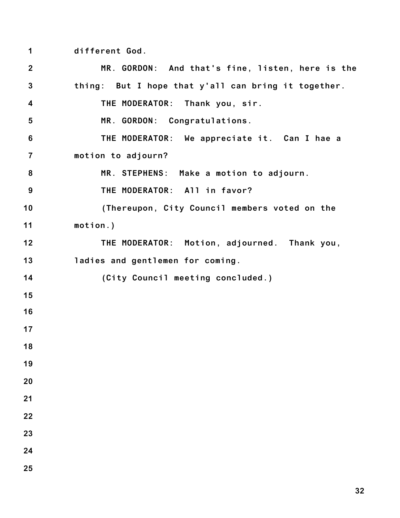**different God.**

| $\overline{2}$          | MR. GORDON: And that's fine, listen, here is the    |
|-------------------------|-----------------------------------------------------|
| $\mathbf{3}$            | thing: But I hope that y'all can bring it together. |
| $\overline{\mathbf{4}}$ | THE MODERATOR: Thank you, sir.                      |
| 5                       | MR. GORDON: Congratulations.                        |
| $6\phantom{1}6$         | THE MODERATOR: We appreciate it. Can I hae a        |
| $\overline{7}$          | motion to adjourn?                                  |
| 8                       | MR. STEPHENS: Make a motion to adjourn.             |
| 9                       | THE MODERATOR: All in favor?                        |
| 10                      | (Thereupon, City Council members voted on the       |
| 11                      | $motion.$ )                                         |
| 12                      | THE MODERATOR: Motion, adjourned. Thank you,        |
| 13                      | ladies and gentlemen for coming.                    |
| 14                      | (City Council meeting concluded.)                   |
| 15                      |                                                     |
| 16                      |                                                     |
| 17                      |                                                     |
| 18                      |                                                     |
| 19                      |                                                     |
| 20                      |                                                     |
| 21                      |                                                     |
| 22                      |                                                     |
| 23                      |                                                     |
| 24                      |                                                     |
| 25                      |                                                     |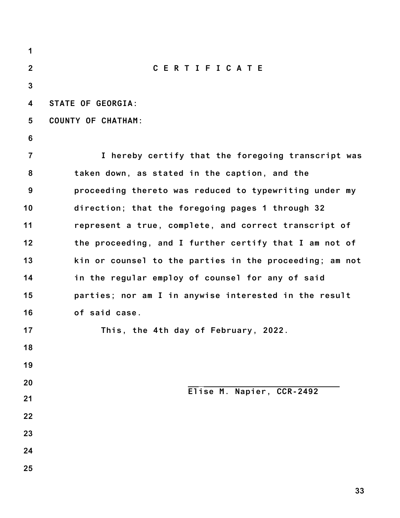| 1              |                                                         |
|----------------|---------------------------------------------------------|
| $\mathbf{2}$   | <b>CERTIFICATE</b>                                      |
| $\mathbf{3}$   |                                                         |
| 4              | <b>STATE OF GEORGIA:</b>                                |
| 5              | <b>COUNTY OF CHATHAM:</b>                               |
| 6              |                                                         |
| $\overline{7}$ | I hereby certify that the foregoing transcript was      |
| 8              | taken down, as stated in the caption, and the           |
| 9              | proceeding thereto was reduced to typewriting under my  |
| 10             | direction; that the foregoing pages 1 through 32        |
| 11             | represent a true, complete, and correct transcript of   |
| 12             | the proceeding, and I further certify that I am not of  |
| 13             | kin or counsel to the parties in the proceeding; am not |
| 14             | in the regular employ of counsel for any of said        |
| 15             | parties; nor am I in anywise interested in the result   |
| 16             | of said case.                                           |
| 17             | This, the 4th day of February, 2022.                    |
| 18             |                                                         |
| 19             |                                                         |
| 20             | Elise M. Napier, CCR-2492                               |
| 21             |                                                         |
| 22             |                                                         |
| 23             |                                                         |
| 24             |                                                         |
| 25             |                                                         |